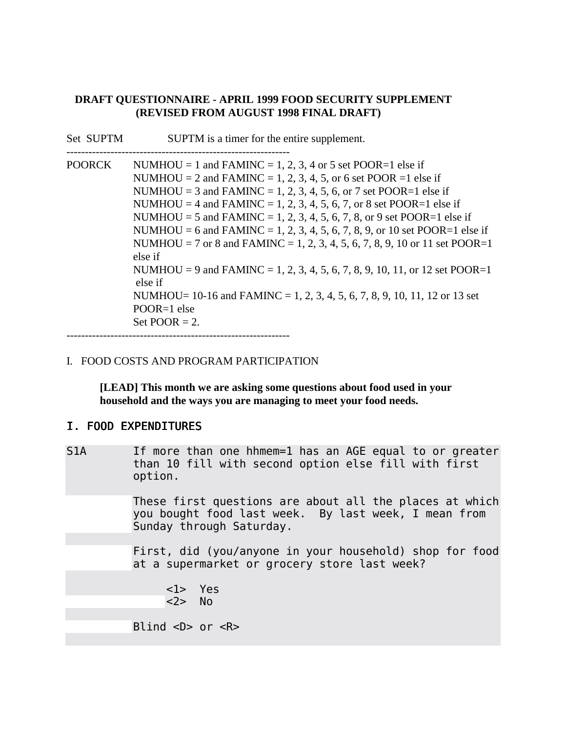## **DRAFT QUESTIONNAIRE - APRIL 1999 FOOD SECURITY SUPPLEMENT (REVISED FROM AUGUST 1998 FINAL DRAFT)**

| Set SUPTM     | SUPTM is a timer for the entire supplement.                                                                                                                                                                                                                                                                                                                                                                                                                                                                                                                                                                                                                                                                                                      |
|---------------|--------------------------------------------------------------------------------------------------------------------------------------------------------------------------------------------------------------------------------------------------------------------------------------------------------------------------------------------------------------------------------------------------------------------------------------------------------------------------------------------------------------------------------------------------------------------------------------------------------------------------------------------------------------------------------------------------------------------------------------------------|
| <b>POORCK</b> | NUMHOU = 1 and FAMINC = 1, 2, 3, 4 or 5 set POOR=1 else if<br>NUMHOU = 2 and FAMINC = 1, 2, 3, 4, 5, or 6 set POOR = 1 else if<br>NUMHOU = 3 and FAMINC = 1, 2, 3, 4, 5, 6, or 7 set POOR=1 else if<br>NUMHOU = 4 and FAMINC = 1, 2, 3, 4, 5, 6, 7, or 8 set POOR=1 else if<br>NUMHOU = 5 and FAMINC = 1, 2, 3, 4, 5, 6, 7, 8, or 9 set POOR=1 else if<br>NUMHOU = 6 and FAMINC = 1, 2, 3, 4, 5, 6, 7, 8, 9, or 10 set POOR=1 else if<br>NUMHOU = 7 or 8 and FAMINC = 1, 2, 3, 4, 5, 6, 7, 8, 9, 10 or 11 set POOR=1<br>else if<br>NUMHOU = 9 and FAMINC = 1, 2, 3, 4, 5, 6, 7, 8, 9, 10, 11, or 12 set POOR=1<br>else if<br>NUMHOU= $10\n-16$ and FAMINC = 1, 2, 3, 4, 5, 6, 7, 8, 9, 10, 11, 12 or 13 set<br>$POOR=1$ else<br>Set POOR $= 2$ . |

-------------------------------------------------------------

## I. FOOD COSTS AND PROGRAM PARTICIPATION

**[LEAD] This month we are asking some questions about food used in your household and the ways you are managing to meet your food needs.**

## I. FOOD EXPENDITURES

S1A If more than one hhmem=1 has an AGE equal to or greater than 10 fill with second option else fill with first option.

> These first questions are about all the places at which you bought food last week. By last week, I mean from Sunday through Saturday.

> First, did (you/anyone in your household) shop for food at a supermarket or grocery store last week?

 <1> Yes <2> No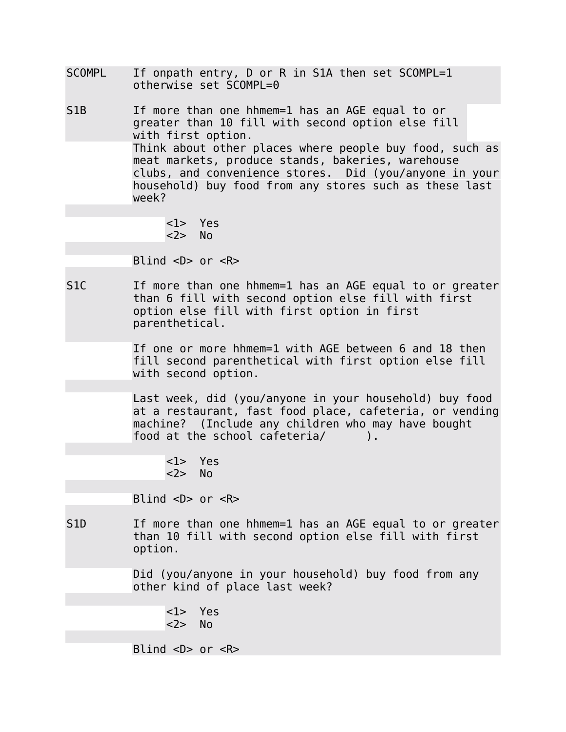- SCOMPL If onpath entry, D or R in S1A then set SCOMPL=1 otherwise set SCOMPL=0
- S1B If more than one hhmem=1 has an AGE equal to or greater than 10 fill with second option else fill with first option. Think about other places where people buy food, such as meat markets, produce stands, bakeries, warehouse clubs, and convenience stores. Did (you/anyone in your household) buy food from any stores such as these last week?

<1> Yes <2> No

Blind  $\langle D \rangle$  or  $\langle R \rangle$ 

S1C If more than one hhmem=1 has an AGE equal to or greater than 6 fill with second option else fill with first option else fill with first option in first parenthetical.

> If one or more hhmem=1 with AGE between 6 and 18 then fill second parenthetical with first option else fill with second option.

Last week, did (you/anyone in your household) buy food at a restaurant, fast food place, cafeteria, or vending machine? (Include any children who may have bought food at the school cafeteria/ ).

<1> Yes <2> No

Blind  $\langle D \rangle$  or  $\langle R \rangle$ 

S1D If more than one hhmem=1 has an AGE equal to or greater than 10 fill with second option else fill with first option.

> Did (you/anyone in your household) buy food from any other kind of place last week?

<1> Yes <2> No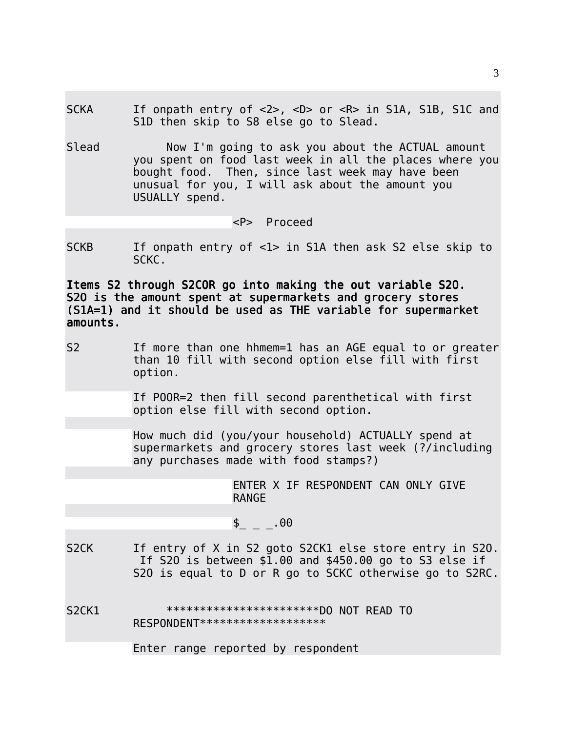- SCKA If onpath entry of <2>, <D> or <R> in S1A, S1B, S1C and S1D then skip to S8 else go to Slead.
- Slead Now I'm going to ask you about the ACTUAL amount you spent on food last week in all the places where you bought food. Then, since last week may have been unusual for you, I will ask about the amount you USUALLY spend.

<P> Proceed

SCKB If onpath entry of <1> in S1A then ask S2 else skip to SCKC.

Items S2 through S2COR go into making the out variable S2O. S2O is the amount spent at supermarkets and grocery stores (S1A=1) and it should be used as THE variable for supermarket amounts.

S2 If more than one hhmem=1 has an AGE equal to or greater than 10 fill with second option else fill with first option.

> If POOR=2 then fill second parenthetical with first option else fill with second option.

How much did (you/your household) ACTUALLY spend at supermarkets and grocery stores last week (?/including any purchases made with food stamps?)

> ENTER X IF RESPONDENT CAN ONLY GIVE RANGE

## $\frac{1}{2}$  \_ \_ . 00

S2CK If entry of X in S2 goto S2CK1 else store entry in S20. If S2O is between \$1.00 and \$450.00 go to S3 else if S2O is equal to D or R go to SCKC otherwise go to S2RC.

S2CK1 \*\*\*\*\*\*\*\*\*\*\*\*\*\*\*\*\*\*\*\*\*\*\*DO NOT READ TO

RESPONDENT\*\*\*\*\*\*\*\*\*\*\*\*\*\*\*\*\*\*\*

Enter range reported by respondent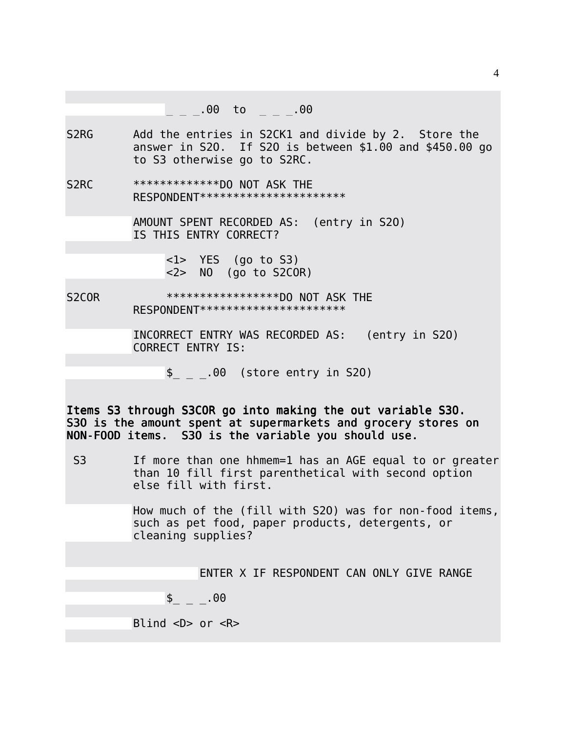|                               | $\mu = 00 \quad \text{to} \quad \mu = 00$               |
|-------------------------------|---------------------------------------------------------|
|                               |                                                         |
| S <sub>2</sub> R <sub>G</sub> | Add the entries in S2CK1 and divide by 2. Store the     |
|                               | answer in S20. If S20 is between \$1.00 and \$450.00 go |

S2RC \*\*\*\*\*\*\*\*\*\*\*\*\*\*DO NOT ASK THE RESPONDENT\*\*\*\*\*\*\*\*\*\*\*\*\*\*\*\*\*\*\*\*\*\*

to S3 otherwise go to S2RC.

AMOUNT SPENT RECORDED AS: (entry in S2O) IS THIS ENTRY CORRECT?

> <1> YES (go to S3)  $\langle 2 \rangle$  NO (go to S2COR)

S2COR \*\*\*\*\*\*\*\*\*\*\*\*\*\*\*\*\*\*\*DO NOT ASK THE RESPONDENT\*\*\*\*\*\*\*\*\*\*\*\*\*\*\*\*\*\*\*\*\*

> INCORRECT ENTRY WAS RECORDED AS: (entry in S2O) CORRECT ENTRY IS:

\$\_ \_ \_.00 (store entry in S2O)

Items S3 through S3COR go into making the out variable S3O. S30 is the amount spent at supermarkets and grocery stores on NON-FOOD items. S3O is the variable you should use.

S3 If more than one hhmem=1 has an AGE equal to or greater than 10 fill first parenthetical with second option else fill with first.

> How much of the (fill with S2O) was for non-food items, such as pet food, paper products, detergents, or cleaning supplies?

> > ENTER X IF RESPONDENT CAN ONLY GIVE RANGE

 $\sim$  \_ \_ .00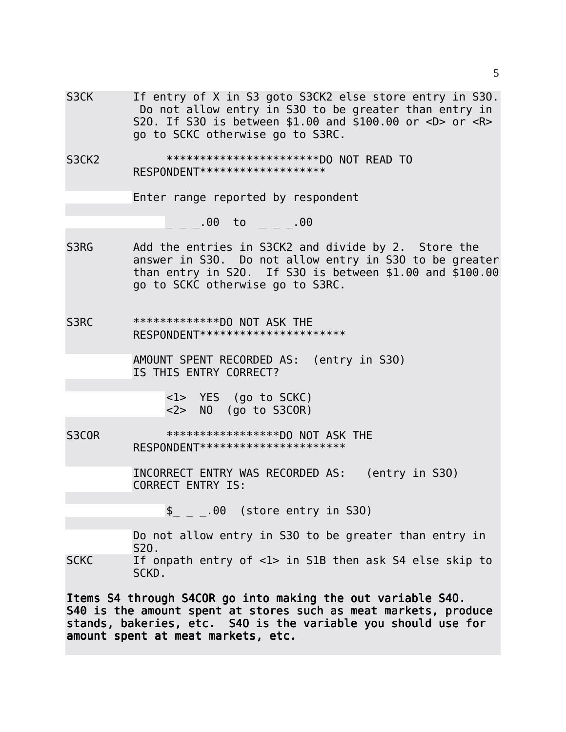S3CK If entry of X in S3 goto S3CK2 else store entry in S30. Do not allow entry in S3O to be greater than entry in S2O. If S3O is between \$1.00 and \$100.00 or <D> or <R> go to SCKC otherwise go to S3RC. S3CK2 \*\*\*\*\*\*\*\*\*\*\*\*\*\*\*\*\*\*\*\*\*\*\*DO NOT READ TO RESPONDENT\*\*\*\*\*\*\*\*\*\*\*\*\*\*\*\*\*\*\* Enter range reported by respondent  $\frac{1}{2}$   $\frac{1}{2}$   $\frac{1}{2}$   $\frac{1}{2}$   $\frac{1}{2}$   $\frac{1}{2}$   $\frac{1}{2}$   $\frac{1}{2}$   $\frac{1}{2}$   $\frac{1}{2}$   $\frac{1}{2}$   $\frac{1}{2}$   $\frac{1}{2}$   $\frac{1}{2}$   $\frac{1}{2}$   $\frac{1}{2}$   $\frac{1}{2}$   $\frac{1}{2}$   $\frac{1}{2}$   $\frac{1}{2}$   $\frac{1}{2}$   $\frac{1}{2}$  S3RG Add the entries in S3CK2 and divide by 2. Store the answer in S3O. Do not allow entry in S3O to be greater than entry in S2O. If S3O is between \$1.00 and \$100.00 go to SCKC otherwise go to S3RC. S3RC \*\*\*\*\*\*\*\*\*\*\*\*\*\*DO NOT ASK THE RESPONDENT\*\*\*\*\*\*\*\*\*\*\*\*\*\*\*\*\*\*\*\*\*\* AMOUNT SPENT RECORDED AS: (entry in S3O) IS THIS ENTRY CORRECT? <1> YES (go to SCKC)  $\langle 2 \rangle$  NO (go to S3COR) S3COR \*\*\*\*\*\*\*\*\*\*\*\*\*\*\*\*\*\*\*\*DO NOT ASK THE RESPONDENT\*\*\*\*\*\*\*\*\*\*\*\*\*\*\*\*\*\*\*\*\*\* INCORRECT ENTRY WAS RECORDED AS: (entry in S3O) CORRECT ENTRY IS:  $\frac{1}{2}$   $\frac{1}{2}$   $\frac{1}{2}$  00 (store entry in S30) Do not allow entry in S3O to be greater than entry in S2O. SCKC If onpath entry of <1> in S1B then ask S4 else skip to SCKD. Items S4 through S4COR go into making the out variable S4O.

S40 is the amount spent at stores such as meat markets, produce stands, bakeries, etc. S4O is the variable you should use for amount spent at meat markets, etc.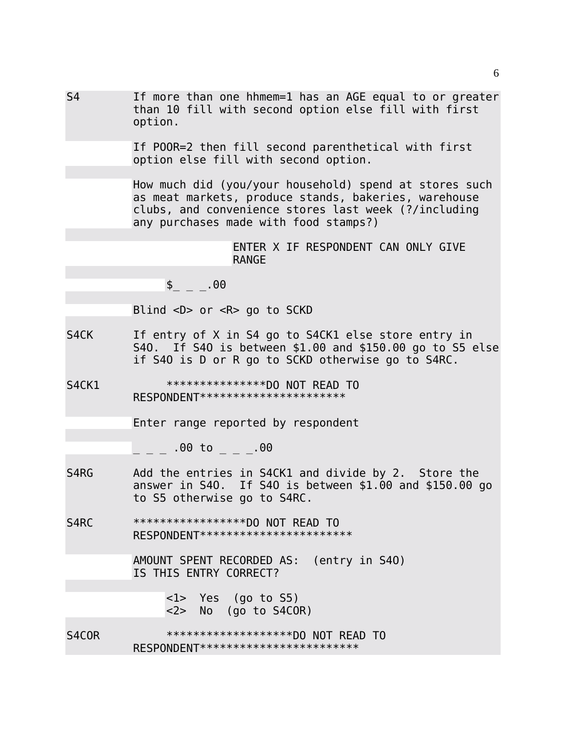| S <sub>4</sub> | If more than one hhmem=1 has an AGE equal to or greater<br>than 10 fill with second option else fill with first<br>option.                                                                                      |
|----------------|-----------------------------------------------------------------------------------------------------------------------------------------------------------------------------------------------------------------|
|                | If POOR=2 then fill second parenthetical with first<br>option else fill with second option.                                                                                                                     |
|                | How much did (you/your household) spend at stores such<br>as meat markets, produce stands, bakeries, warehouse<br>clubs, and convenience stores last week (?/including<br>any purchases made with food stamps?) |
|                | ENTER X IF RESPONDENT CAN ONLY GIVE<br><b>RANGE</b>                                                                                                                                                             |
|                | $\frac{1}{2}$ _ _ . 00                                                                                                                                                                                          |
|                | Blind $\langle D \rangle$ or $\langle R \rangle$ go to SCKD                                                                                                                                                     |
| S4CK           | If entry of X in S4 go to S4CK1 else store entry in<br>S40. If S40 is between \$1.00 and \$150.00 go to S5 else<br>if S40 is D or R go to SCKD otherwise go to S4RC.                                            |
| S4CK1          | ****************DO NOT READ TO<br>RESPONDENT ***********************                                                                                                                                            |
|                | Enter range reported by respondent                                                                                                                                                                              |
|                | _ _ _ .00 to _ _ _.00                                                                                                                                                                                           |
| S4RG           | Add the entries in S4CK1 and divide by 2. Store the<br>answer in S40. If S40 is between \$1.00 and \$150.00 go<br>to S5 otherwise go to S4RC.                                                                   |
| S4RC           | ******************DO NOT READ TO<br>RESPONDENT ************************                                                                                                                                         |
|                | AMOUNT SPENT RECORDED AS:<br>(entry in S40)<br>IS THIS ENTRY CORRECT?                                                                                                                                           |
|                | <1> Yes (go to S5)<br><2> No (go to S4COR)                                                                                                                                                                      |
| S4COR          | ********************DO NOT READ TO<br>RESPONDENT*************************                                                                                                                                       |

6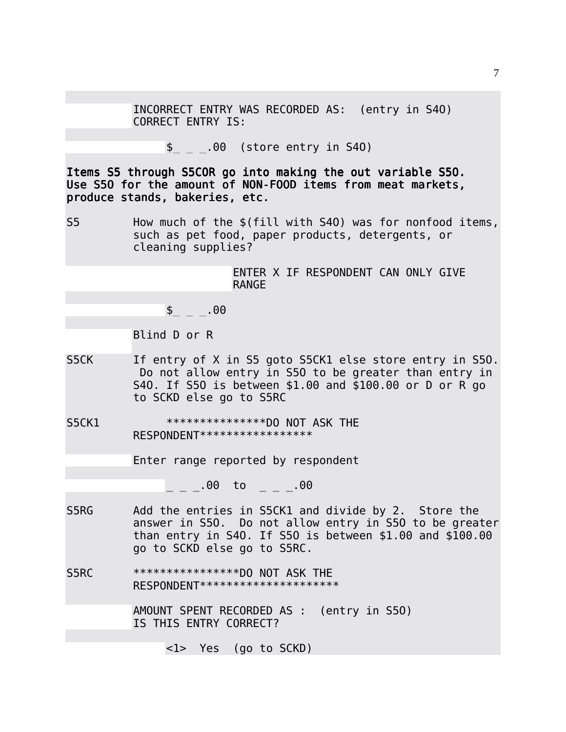INCORRECT ENTRY WAS RECORDED AS: (entry in S4O) CORRECT ENTRY IS:

 $\{-\}$  \_  $\sim$  00 (store entry in S40)

Items S5 through S5COR go into making the out variable S5O. Use S50 for the amount of NON-FOOD items from meat markets, produce stands, bakeries, etc.

S5 How much of the \$(fill with S4O) was for nonfood items, such as pet food, paper products, detergents, or cleaning supplies?

> ENTER X IF RESPONDENT CAN ONLY GIVE RANGE

 $$ 00$ 

Blind D or R

- S5CK If entry of X in S5 goto S5CK1 else store entry in S50. Do not allow entry in S5O to be greater than entry in S4O. If S5O is between \$1.00 and \$100.00 or D or R go to SCKD else go to S5RC
- S5CK1 \*\*\*\*\*\*\*\*\*\*\*\*\*\*\*DO NOT ASK THE RESPONDENT\*\*\*\*\*\*\*\*\*\*\*\*\*\*\*\*\*

Enter range reported by respondent

 $\begin{array}{cccc} 0 & 0 & 0 & 0 & 0 \end{array}$ 

S5RG Add the entries in S5CK1 and divide by 2. Store the answer in S5O. Do not allow entry in S5O to be greater than entry in S4O. If S5O is between \$1.00 and \$100.00 go to SCKD else go to S5RC.

S5RC \*\*\*\*\*\*\*\*\*\*\*\*\*\*\*\*DO NOT ASK THE RESPONDENT\*\*\*\*\*\*\*\*\*\*\*\*\*\*\*\*\*\*\*\*\*

> AMOUNT SPENT RECORDED AS : (entry in S5O) IS THIS ENTRY CORRECT?

> > <1> Yes (go to SCKD)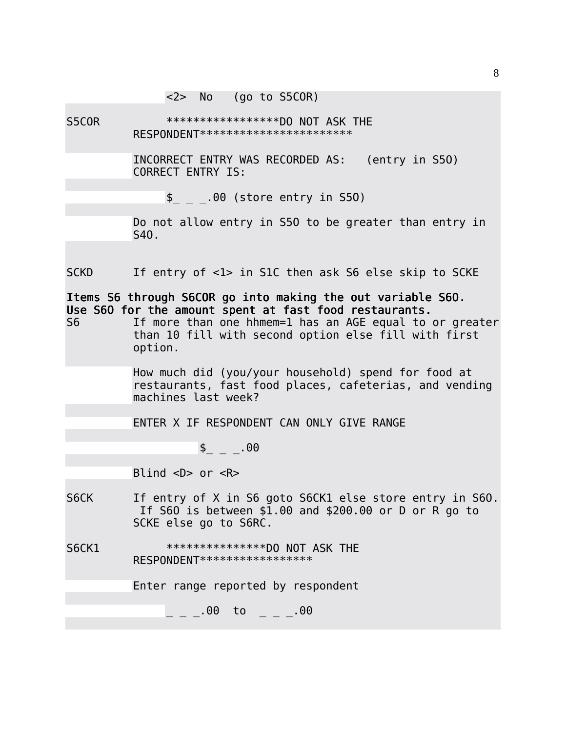<2> No (go to S5COR)

S5COR \*\*\*\*\*\*\*\*\*\*\*\*\*\*\*\*\*DO NOT ASK THE RESPONDENT\*\*\*\*\*\*\*\*\*\*\*\*\*\*\*\*\*\*\*\*\*\*\*

> INCORRECT ENTRY WAS RECORDED AS: (entry in S5O) CORRECT ENTRY IS:

 $\frac{1}{2}$   $\frac{1}{2}$   $\frac{1}{2}$  00 (store entry in S50)

Do not allow entry in S5O to be greater than entry in S4O.

SCKD If entry of <1> in S1C then ask S6 else skip to SCKE

Items S6 through S6COR go into making the out variable S6O. Use S6O for the amount spent at fast food restaurants.

S6 If more than one hhmem=1 has an AGE equal to or greater than 10 fill with second option else fill with first option.

> How much did (you/your household) spend for food at restaurants, fast food places, cafeterias, and vending machines last week?

ENTER X IF RESPONDENT CAN ONLY GIVE RANGE

 $\frac{1}{2}$  \_ \_ . 00

Blind  $\langle D \rangle$  or  $\langle R \rangle$ 

- S6CK If entry of X in S6 goto S6CK1 else store entry in S60. If S6O is between \$1.00 and \$200.00 or D or R go to SCKE else go to S6RC.
- S6CK1 \*\*\*\*\*\*\*\*\*\*\*\*\*\*\*\*\*DO NOT ASK THE RESPONDENT\*\*\*\*\*\*\*\*\*\*\*\*\*\*\*\*\*

Enter range reported by respondent

 $\sim$  \_ \_ .00 to \_ \_ \_ .00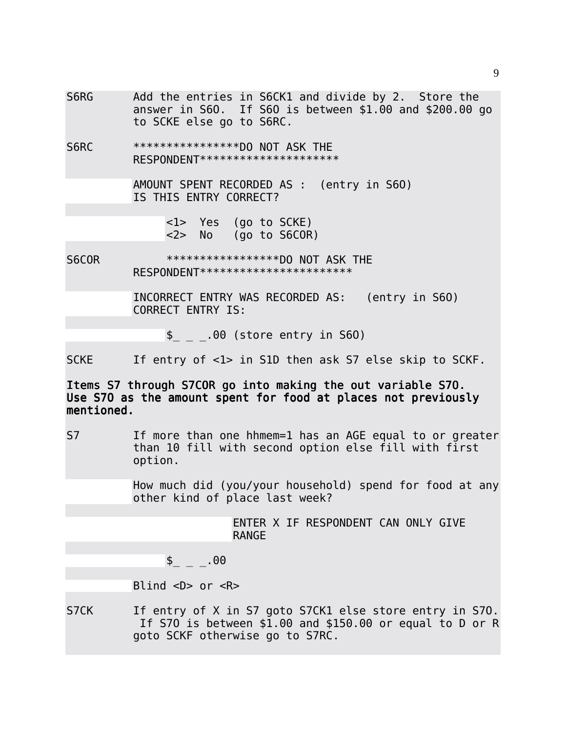S6RG Add the entries in S6CK1 and divide by 2. Store the answer in S6O. If S6O is between \$1.00 and \$200.00 go to SCKE else go to S6RC.

S6RC \*\*\*\*\*\*\*\*\*\*\*\*\*\*\*\*DO NOT ASK THE RESPONDENT\*\*\*\*\*\*\*\*\*\*\*\*\*\*\*\*\*\*\*\*\*

> AMOUNT SPENT RECORDED AS : (entry in S6O) IS THIS ENTRY CORRECT?

> > <1> Yes (go to SCKE) <2> No (go to S6COR)

S6COR \*\*\*\*\*\*\*\*\*\*\*\*\*\*\*\*\*DO NOT ASK THE RESPONDENT\*\*\*\*\*\*\*\*\*\*\*\*\*\*\*\*\*\*\*\*\*\*

> INCORRECT ENTRY WAS RECORDED AS: (entry in S6O) CORRECT ENTRY IS:

 $\frac{1}{2}$   $\frac{1}{2}$   $\frac{1}{2}$  00 (store entry in S60)

SCKE If entry of <1> in S1D then ask S7 else skip to SCKF.

Items S7 through S7COR go into making the out variable S7O. Use S7O as the amount spent for food at places not previously mentioned.

S7 If more than one hhmem=1 has an AGE equal to or greater than 10 fill with second option else fill with first option.

> How much did (you/your household) spend for food at any other kind of place last week?

> > ENTER X IF RESPONDENT CAN ONLY GIVE RANGE

 $\frac{1}{2}$  \_ \_ . 00

Blind  $\langle D \rangle$  or  $\langle R \rangle$ 

S7CK If entry of X in S7 goto S7CK1 else store entry in S70. If S7O is between \$1.00 and \$150.00 or equal to D or R goto SCKF otherwise go to S7RC.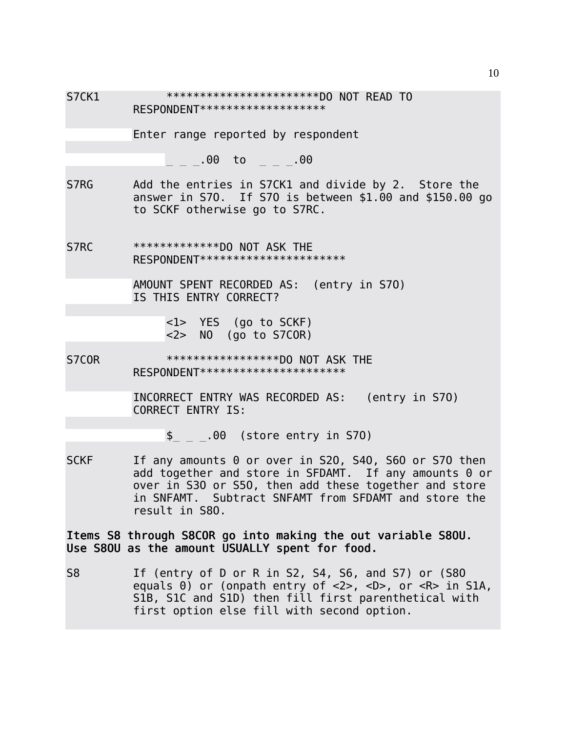| S <sub>7</sub> CK <sub>1</sub> | ************************DO NOT READ TO<br>RESPONDENT ********************                                                                                                                                                                                            |  |  |  |  |  |  |
|--------------------------------|----------------------------------------------------------------------------------------------------------------------------------------------------------------------------------------------------------------------------------------------------------------------|--|--|--|--|--|--|
|                                | Enter range reported by respondent                                                                                                                                                                                                                                   |  |  |  |  |  |  |
|                                | _ _ _. 00 to _ _ _. 00                                                                                                                                                                                                                                               |  |  |  |  |  |  |
| S7RG                           | Add the entries in S7CK1 and divide by 2. Store the<br>answer in S70. If S70 is between \$1.00 and \$150.00 go<br>to SCKF otherwise go to S7RC.                                                                                                                      |  |  |  |  |  |  |
| S7RC                           | **************DO NOT ASK THE<br>RESPONDENT **********************                                                                                                                                                                                                    |  |  |  |  |  |  |
|                                | AMOUNT SPENT RECORDED AS: (entry in S70)<br>IS THIS ENTRY CORRECT?                                                                                                                                                                                                   |  |  |  |  |  |  |
|                                | <1> YES (go to SCKF)<br><2> NO (go to S7COR)                                                                                                                                                                                                                         |  |  |  |  |  |  |
| S7COR                          | ******************DO NOT ASK THE<br>RESPONDENT ***********************                                                                                                                                                                                               |  |  |  |  |  |  |
|                                | INCORRECT ENTRY WAS RECORDED AS: (entry in S70)<br><b>CORRECT ENTRY IS:</b>                                                                                                                                                                                          |  |  |  |  |  |  |
|                                | $\frac{1}{2}$ _ $\frac{1}{2}$ .00 (store entry in S70)                                                                                                                                                                                                               |  |  |  |  |  |  |
| <b>SCKF</b>                    | If any amounts 0 or over in S20, S40, S60 or S70 then<br>add together and store in SFDAMT. If any amounts 0 or<br>over in S30 or S50, then add these together and store<br>in SNFAMT. Subtract SNFAMT from SFDAMT and store the<br>result in S80.                    |  |  |  |  |  |  |
|                                | I tems S8 through S8COR go into making the out variable S80U.<br>Use S80U as the amount USUALLY spent for food.                                                                                                                                                      |  |  |  |  |  |  |
| S <sub>8</sub>                 | If (entry of D or R in S2, S4, S6, and S7) or (S80<br>equals 0) or (onpath entry of $\langle 2 \rangle$ , $\langle D \rangle$ , or $\langle R \rangle$ in S1A,<br>S1B, S1C and S1D) then fill first parenthetical with<br>first option else fill with second option. |  |  |  |  |  |  |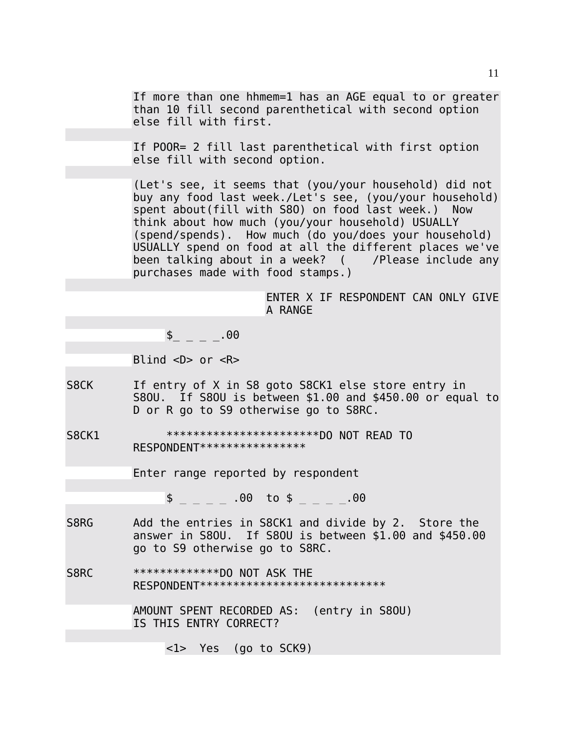If more than one hhmem=1 has an AGE equal to or greater than 10 fill second parenthetical with second option else fill with first.

If POOR= 2 fill last parenthetical with first option else fill with second option.

(Let's see, it seems that (you/your household) did not buy any food last week./Let's see, (you/your household) spent about(fill with S8O) on food last week.) Now think about how much (you/your household) USUALLY (spend/spends). How much (do you/does your household) USUALLY spend on food at all the different places we've been talking about in a week? ( /Please include any purchases made with food stamps.)

> ENTER X IF RESPONDENT CAN ONLY GIVE A RANGE

 $\frac{1}{2}$   $\frac{1}{2}$   $\frac{1}{2}$   $\frac{1}{2}$  00

Blind  $\langle D \rangle$  or  $\langle R \rangle$ 

S8CK If entry of X in S8 goto S8CK1 else store entry in S8OU. If S8OU is between \$1.00 and \$450.00 or equal to D or R go to S9 otherwise go to S8RC.

S8CK1 \*\*\*\*\*\*\*\*\*\*\*\*\*\*\*\*\*\*\*\*\*\*\*DO NOT READ TO RESPONDENT\*\*\*\*\*\*\*\*\*\*\*\*\*\*\*\*

Enter range reported by respondent

 $\frac{1}{2}$  = \_ \_ .00 to \$ \_ \_ \_ \_.00

S8RG Add the entries in S8CK1 and divide by 2. Store the answer in S8OU. If S8OU is between \$1.00 and \$450.00 go to S9 otherwise go to S8RC.

S8RC \*\*\*\*\*\*\*\*\*\*\*\*\*\*DO NOT ASK THE RESPONDENT\*\*\*\*\*\*\*\*\*\*\*\*\*\*\*\*\*\*\*\*\*\*\*\*\*\*\*

> AMOUNT SPENT RECORDED AS: (entry in S8OU) IS THIS ENTRY CORRECT?

> > <1> Yes (go to SCK9)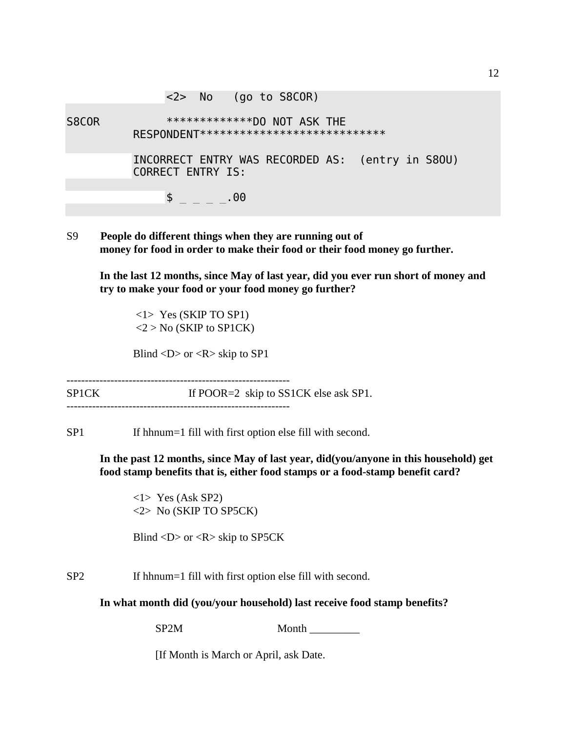<2> No (go to S8COR) S8COR \*\*\*\*\*\*\*\*\*\*\*\*\*\*\*DO NOT ASK THE RESPONDENT\*\*\*\*\*\*\*\*\*\*\*\*\*\*\*\*\*\*\*\*\*\*\*\*\*\*\* INCORRECT ENTRY WAS RECORDED AS: (entry in S8OU) CORRECT ENTRY IS:  $\frac{1}{2}$   $\frac{1}{2}$   $\frac{1}{2}$   $\frac{1}{2}$   $\frac{1}{2}$   $\frac{1}{2}$   $\frac{1}{2}$   $\frac{1}{2}$   $\frac{1}{2}$   $\frac{1}{2}$   $\frac{1}{2}$   $\frac{1}{2}$   $\frac{1}{2}$   $\frac{1}{2}$   $\frac{1}{2}$   $\frac{1}{2}$   $\frac{1}{2}$   $\frac{1}{2}$   $\frac{1}{2}$   $\frac{1}{2}$   $\frac{1}{2}$   $\frac{1}{2}$ 

S9 **People do different things when they are running out of money for food in order to make their food or their food money go further.**

**In the last 12 months, since May of last year, did you ever run short of money and try to make your food or your food money go further?**

 <1> Yes (SKIP TO SP1)  $<$ 2 > No (SKIP to SP1CK)

Blind  $\langle D \rangle$  or  $\langle R \rangle$  skip to SP1

------------------------------------------------------------- SP1CK If POOR=2 skip to SS1CK else ask SP1. -------------------------------------------------------------

SP1 If hhnum=1 fill with first option else fill with second.

**In the past 12 months, since May of last year, did(you/anyone in this household) get food stamp benefits that is, either food stamps or a food-stamp benefit card?**

<1> Yes (Ask SP2) <2> No (SKIP TO SP5CK)

Blind  $\langle D \rangle$  or  $\langle R \rangle$  skip to SP5CK

SP2 If hhnum=1 fill with first option else fill with second.

**In what month did (you/your household) last receive food stamp benefits?**

SP2M Month

[If Month is March or April, ask Date.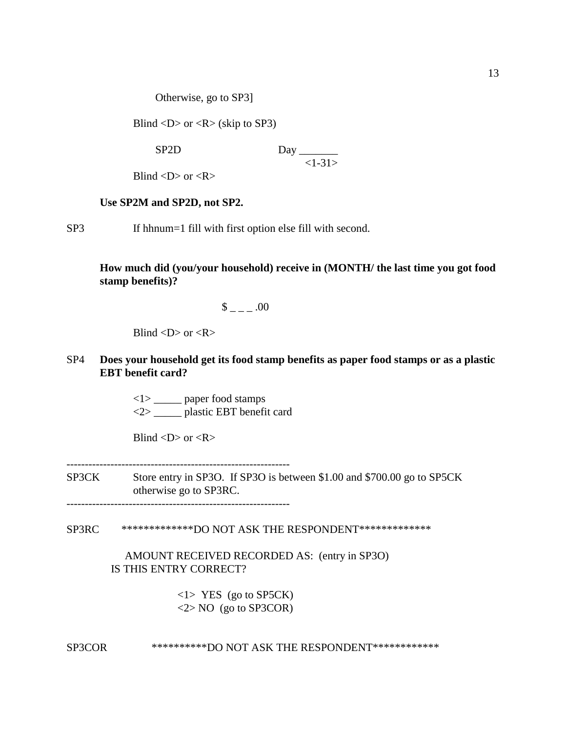Otherwise, go to SP3]

Blind  $\langle D \rangle$  or  $\langle R \rangle$  (skip to SP3)

SP2D Day  $<1-31>$ 

Blind  $\langle D \rangle$  or  $\langle R \rangle$ 

#### **Use SP2M and SP2D, not SP2.**

SP3 If hhnum=1 fill with first option else fill with second.

**How much did (you/your household) receive in (MONTH/ the last time you got food stamp benefits)?**

 $\frac{\$}{\$}$  \_ \_ \_ .00

Blind  $\langle D \rangle$  or  $\langle R \rangle$ 

## SP4 **Does your household get its food stamp benefits as paper food stamps or as a plastic EBT benefit card?**

<1> \_\_\_\_\_ paper food stamps <2> \_\_\_\_\_ plastic EBT benefit card

Blind  $\langle D \rangle$  or  $\langle R \rangle$ 

-------------------------------------------------------------

SP3CK Store entry in SP3O. If SP3O is between \$1.00 and \$700.00 go to SP5CK otherwise go to SP3RC.

-------------------------------------------------------------

### SP3RC \*\*\*\*\*\*\*\*\*\*\*\*\*DO NOT ASK THE RESPONDENT\*\*\*\*\*\*\*\*\*\*\*\*\*

### AMOUNT RECEIVED RECORDED AS: (entry in SP3O) IS THIS ENTRY CORRECT?

 <1> YES (go to SP5CK)  $\langle 2 \rangle$  NO (go to SP3COR)

SP3COR \*\*\*\*\*\*\*\*\*\*\*DO NOT ASK THE RESPONDENT\*\*\*\*\*\*\*\*\*\*\*\*\*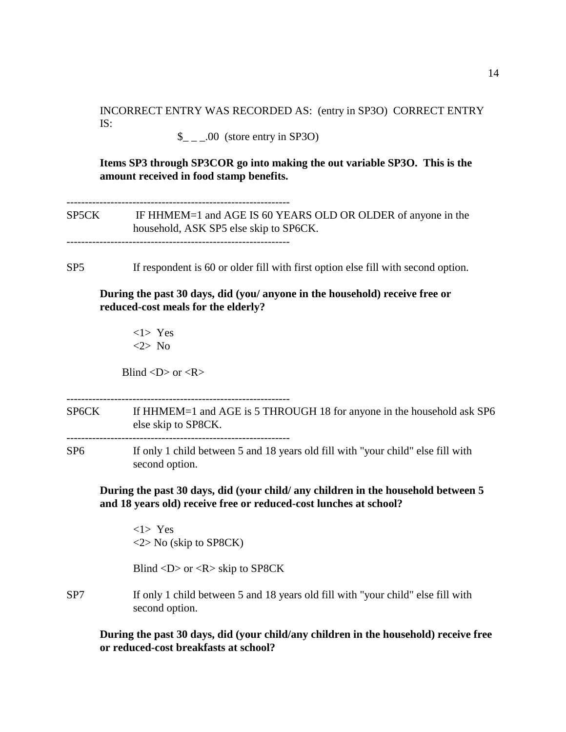INCORRECT ENTRY WAS RECORDED AS: (entry in SP3O) CORRECT ENTRY IS:

 $\_{$   $\_\_$   $\_\_$  00 (store entry in SP3O)

**Items SP3 through SP3COR go into making the out variable SP3O. This is the amount received in food stamp benefits.**

------------------------------------------------------------- SP5CK IF HHMEM=1 and AGE IS 60 YEARS OLD OR OLDER of anyone in the household, ASK SP5 else skip to SP6CK. -------------------------------------------------------------

SP5 If respondent is 60 or older fill with first option else fill with second option.

**During the past 30 days, did (you/ anyone in the household) receive free or reduced-cost meals for the elderly?**

<1> Yes <2> No

Blind  $\langle D \rangle$  or  $\langle R \rangle$ 

-------------------------------------------------------------

SP6CK If HHMEM=1 and AGE is 5 THROUGH 18 for anyone in the household ask SP6 else skip to SP8CK. -------------------------------------------------------------

SP6 If only 1 child between 5 and 18 years old fill with "your child" else fill with second option.

**During the past 30 days, did (your child/ any children in the household between 5 and 18 years old) receive free or reduced-cost lunches at school?**

<1> Yes <2> No (skip to SP8CK)

Blind <D> or <R> skip to SP8CK

SP7 If only 1 child between 5 and 18 years old fill with "your child" else fill with second option.

**During the past 30 days, did (your child/any children in the household) receive free or reduced-cost breakfasts at school?**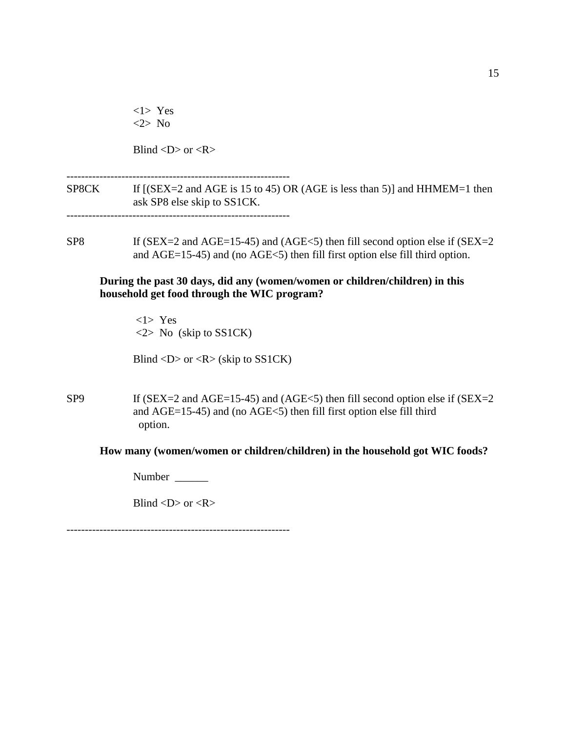|                 | $<1>$ Yes<br>$<2>$ No                                                                                                                                          |
|-----------------|----------------------------------------------------------------------------------------------------------------------------------------------------------------|
|                 | Blind < $D$ > or < $R$ >                                                                                                                                       |
|                 | SP8CK If [(SEX=2 and AGE is 15 to 45) OR (AGE is less than 5)] and HHMEM=1 then<br>ask SP8 else skip to SS1CK.                                                 |
| SP <sub>8</sub> | If (SEX=2 and AGE=15-45) and (AGE<5) then fill second option else if (SEX=2<br>and AGE=15-45) and (no AGE<5) then fill first option else fill third option.    |
|                 | During the past 30 days, did any (women/women or children/children) in this<br>household get food through the WIC program?                                     |
|                 | $<1>$ Yes<br>$\langle 2 \rangle$ No (skip to SS1CK)                                                                                                            |
|                 | Blind <d> or <r> (skip to <math>SS1CK</math>)</r></d>                                                                                                          |
| SP <sub>9</sub> | If (SEX=2 and AGE=15-45) and (AGE<5) then fill second option else if (SEX=2<br>and AGE=15-45) and (no AGE<5) then fill first option else fill third<br>option. |
|                 | How many (women/women or children/children) in the household got WIC foods?                                                                                    |
|                 |                                                                                                                                                                |
|                 | Blind < $D$ > or < $R$ >                                                                                                                                       |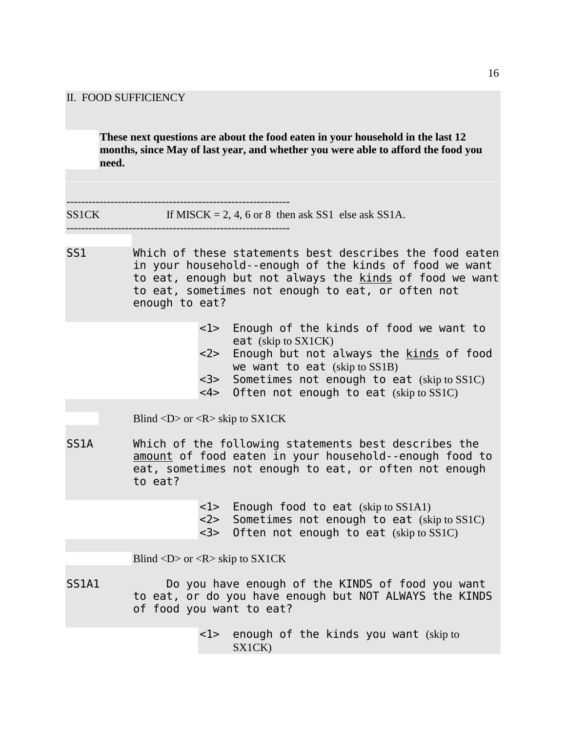#### II. FOOD SUFFICIENCY

**These next questions are about the food eaten in your household in the last 12 months, since May of last year, and whether you were able to afford the food you need.**

-------------------------------------------------------------  $SS1CK$  If MISCK = 2, 4, 6 or 8 then ask SS1 else ask SS1A.

-------------------------------------------------------------

- SS1 Which of these statements best describes the food eaten in your household--enough of the kinds of food we want to eat, enough but not always the kinds of food we want to eat, sometimes not enough to eat, or often not enough to eat?
	- <1> Enough of the kinds of food we want to eat (skip to SX1CK)
	- <2> Enough but not always the kinds of food we want to eat (skip to SS1B)
	- <3> Sometimes not enough to eat (skip to SS1C)
	- <4> Often not enough to eat (skip to SS1C)

Blind  $\langle D \rangle$  or  $\langle R \rangle$  skip to SX1CK

- SS1A Which of the following statements best describes the amount of food eaten in your household--enough food to eat, sometimes not enough to eat, or often not enough to eat?
	- <1> Enough food to eat (skip to SS1A1)
	- <2> Sometimes not enough to eat (skip to SS1C)
	- <3> Often not enough to eat (skip to SS1C)

Blind  $\langle D \rangle$  or  $\langle R \rangle$  skip to SX1CK

SS1A1 Do you have enough of the KINDS of food you want to eat, or do you have enough but NOT ALWAYS the KINDS of food you want to eat?

> <1> enough of the kinds you want (skip to SX1CK)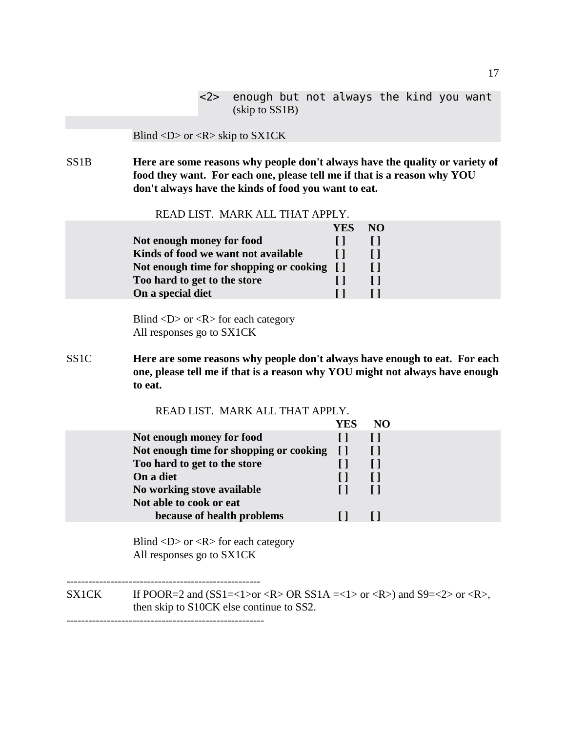|                | <2> enough but not always the kind you want |  |  |  |  |  |
|----------------|---------------------------------------------|--|--|--|--|--|
| (kkip to SS1B) |                                             |  |  |  |  |  |

#### Blind <D> or <R> skip to SX1CK

SS1B **Here are some reasons why people don't always have the quality or variety of food they want. For each one, please tell me if that is a reason why YOU don't always have the kinds of food you want to eat.**

READ LIST. MARK ALL THAT APPLY.

|                                            | YES NO |  |
|--------------------------------------------|--------|--|
| Not enough money for food                  |        |  |
| Kinds of food we want not available        |        |  |
| Not enough time for shopping or cooking [] |        |  |
| Too hard to get to the store               |        |  |
| On a special diet                          |        |  |

Blind  $\langle D \rangle$  or  $\langle R \rangle$  for each category All responses go to SX1CK

SS1C **Here are some reasons why people don't always have enough to eat. For each one, please tell me if that is a reason why YOU might not always have enough to eat.**

| READ LIST. MARK ALL THAT APPLY.         |        |    |
|-----------------------------------------|--------|----|
|                                         | YES    | NO |
| Not enough money for food               |        |    |
| Not enough time for shopping or cooking | $\Box$ |    |
| Too hard to get to the store            |        |    |
| On a diet                               |        |    |
| No working stove available              |        |    |
| Not able to cook or eat                 |        |    |
| because of health problems              |        |    |
|                                         |        |    |

 Blind <D> or <R> for each category All responses go to SX1CK

----------------------------------------------------- SX1CK If POOR=2 and  $(SS1=<1>or OR SS1A=<1>or OR$  and  $S9=<2>or$ , then skip to S10CK else continue to SS2. ------------------------------------------------------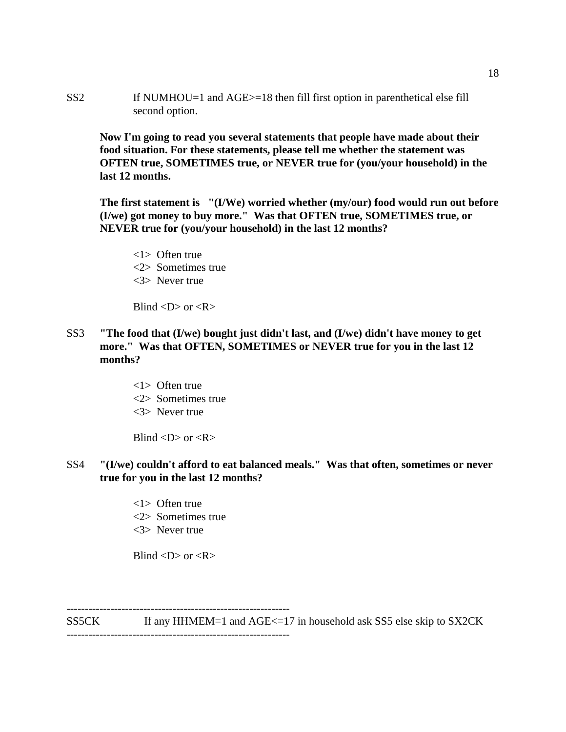SS2 If NUMHOU=1 and AGE>=18 then fill first option in parenthetical else fill second option.

 **Now I'm going to read you several statements that people have made about their food situation. For these statements, please tell me whether the statement was OFTEN true, SOMETIMES true, or NEVER true for (you/your household) in the last 12 months.**

**The first statement is "(I/We) worried whether (my/our) food would run out before (I/we) got money to buy more." Was that OFTEN true, SOMETIMES true, or NEVER true for (you/your household) in the last 12 months?**

<1> Often true <2> Sometimes true <3> Never true

Blind  $\langle D \rangle$  or  $\langle R \rangle$ 

- SS3 **"The food that (I/we) bought just didn't last, and (I/we) didn't have money to get more." Was that OFTEN, SOMETIMES or NEVER true for you in the last 12 months?**
	- <1> Often true <2> Sometimes true <3> Never true

Blind  $\langle D \rangle$  or  $\langle R \rangle$ 

## SS4 **"(I/we) couldn't afford to eat balanced meals." Was that often, sometimes or never true for you in the last 12 months?**

- <1> Often true
- <2> Sometimes true
- <3> Never true

Blind  $\langle D \rangle$  or  $\langle R \rangle$ 

-------------------------------------------------------------

-------------------------------------------------------------

SS5CK If any HHMEM=1 and AGE<=17 in household ask SS5 else skip to SX2CK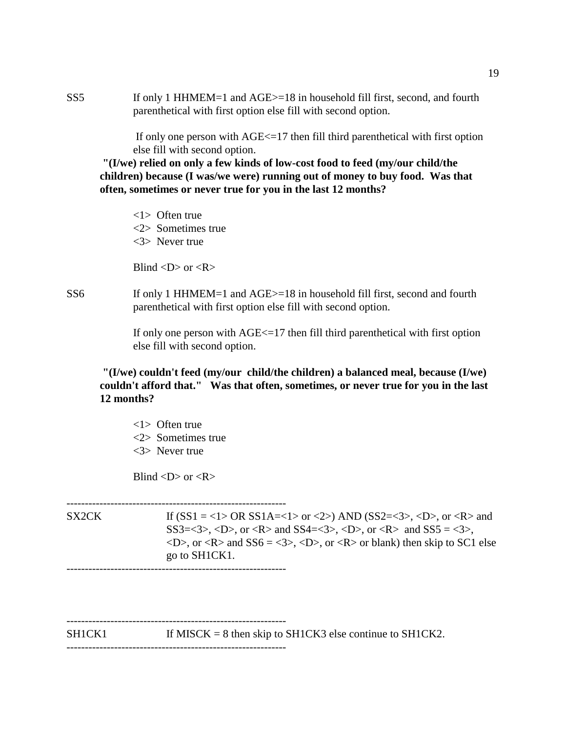SS5 If only 1 HHMEM=1 and AGE>=18 in household fill first, second, and fourth parenthetical with first option else fill with second option.

> If only one person with  $AGE \leq 17$  then fill third parenthetical with first option else fill with second option.

**"(I/we) relied on only a few kinds of low-cost food to feed (my/our child/the children) because (I was/we were) running out of money to buy food. Was that often, sometimes or never true for you in the last 12 months?**

- <1> Often true
- <2> Sometimes true
- <3> Never true

Blind  $\langle D \rangle$  or  $\langle R \rangle$ 

SS6 If only 1 HHMEM=1 and AGE > = 18 in household fill first, second and fourth parenthetical with first option else fill with second option.

> If only one person with  $AGE \leq 17$  then fill third parenthetical with first option else fill with second option.

**"(I/we) couldn't feed (my/our child/the children) a balanced meal, because (I/we) couldn't afford that." Was that often, sometimes, or never true for you in the last 12 months?**

<1> Often true <2> Sometimes true <3> Never true

Blind  $\langle D \rangle$  or  $\langle R \rangle$ 

------------------------------------------------------------ SX2CK If  $(SS1 = <1>OR SS1A=<1>$  or  $<2>$ ) AND  $(SS2=<3>$ ,  $< D>$ , or  $< R>$  and  $SS3=<3>$ ,  $<$ D $>$ , or  $<$ R $>$  and SS4= $<3>$ ,  $<$ D $>$ , or  $<$ R $>$  and SS5 =  $<3>$ ,  $\langle D \rangle$ , or  $\langle R \rangle$  and SS6 =  $\langle 3 \rangle$ ,  $\langle D \rangle$ , or  $\langle R \rangle$  or blank) then skip to SC1 else go to SH1CK1.

------------------------------------------------------------

------------------------------------------------------------  $SH1CK1$  If MISCK = 8 then skip to SH1CK3 else continue to SH1CK2. ------------------------------------------------------------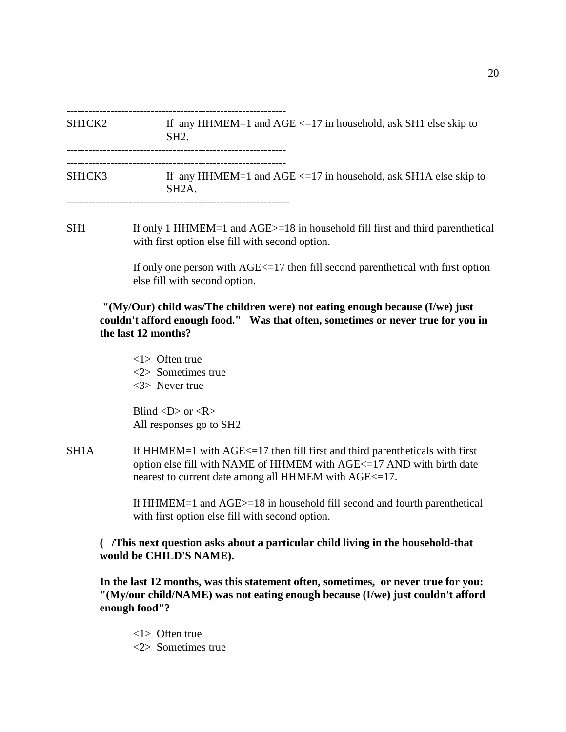------------------------------------------------------------

 $SHICK2$  If any HHMEM=1 and AGE <=17 in household, ask SH1 else skip to SH2. ------------------------------------------------------------

SH1CK3 If any HHMEM=1 and AGE <=17 in household, ask SH1A else skip to SH2A.

-------------------------------------------------------------

SH1 If only 1 HHMEM=1 and AGE>=18 in household fill first and third parenthetical with first option else fill with second option.

> If only one person with AGE<=17 then fill second parenthetical with first option else fill with second option.

 **"(My/Our) child was/The children were) not eating enough because (I/we) just couldn't afford enough food." Was that often, sometimes or never true for you in the last 12 months?**

<1> Often true <2> Sometimes true <3> Never true

Blind  $\langle D \rangle$  or  $\langle R \rangle$ All responses go to SH2

 $SH1A$  If HHMEM=1 with AGE $\le$ =17 then fill first and third parentheticals with first option else fill with NAME of HHMEM with AGE<=17 AND with birth date nearest to current date among all HHMEM with AGE<=17.

> If HHMEM=1 and AGE>=18 in household fill second and fourth parenthetical with first option else fill with second option.

### **( /This next question asks about a particular child living in the household-that would be CHILD'S NAME).**

**In the last 12 months, was this statement often, sometimes, or never true for you: "(My/our child/NAME) was not eating enough because (I/we) just couldn't afford enough food"?**

<1> Often true <2> Sometimes true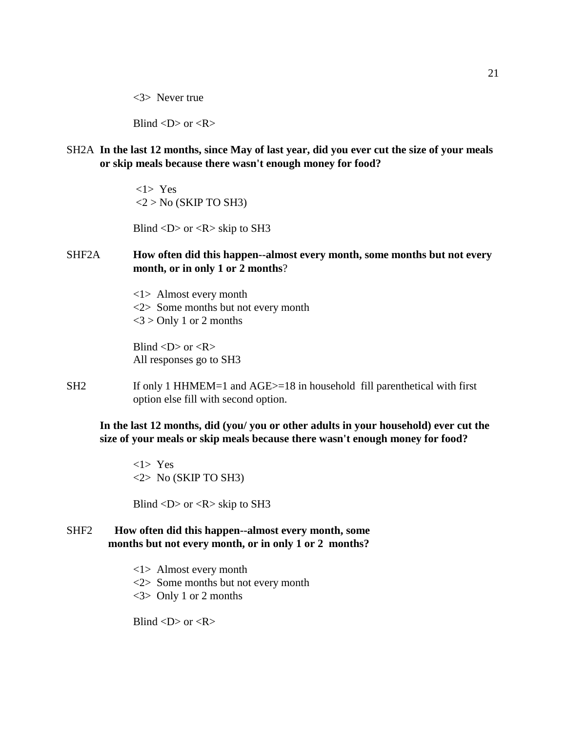<3> Never true

Blind  $\langle D \rangle$  or  $\langle R \rangle$ 

SH2A **In the last 12 months, since May of last year, did you ever cut the size of your meals or skip meals because there wasn't enough money for food?**

> <1> Yes  $<$ 2 > No (SKIP TO SH3)

Blind  $\langle D \rangle$  or  $\langle R \rangle$  skip to SH3

### SHF2A **How often did this happen--almost every month, some months but not every month, or in only 1 or 2 months**?

<1> Almost every month <2> Some months but not every month  $<$ 3 > Only 1 or 2 months

Blind  $\langle D \rangle$  or  $\langle R \rangle$ All responses go to SH3

SH2 If only 1 HHMEM=1 and AGE > = 18 in household fill parenthetical with first option else fill with second option.

**In the last 12 months, did (you/ you or other adults in your household) ever cut the size of your meals or skip meals because there wasn't enough money for food?**

<1> Yes  $<$ 2> No (SKIP TO SH3)

Blind  $\langle D \rangle$  or  $\langle R \rangle$  skip to SH3

- SHF2 **How often did this happen--almost every month, some months but not every month, or in only 1 or 2 months?**
	- <1> Almost every month
	- <2> Some months but not every month
	- <3> Only 1 or 2 months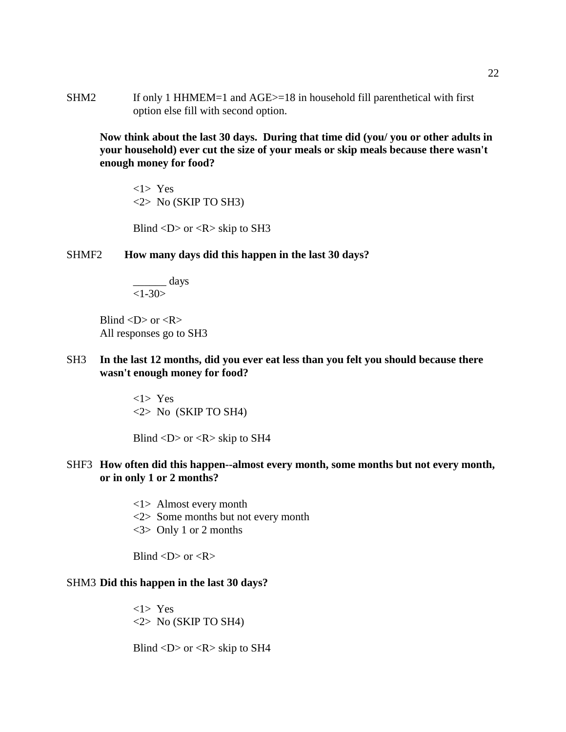SHM2 If only 1 HHMEM=1 and AGE>=18 in household fill parenthetical with first option else fill with second option.

**Now think about the last 30 days. During that time did (you/ you or other adults in your household) ever cut the size of your meals or skip meals because there wasn't enough money for food?**

<1> Yes <2> No (SKIP TO SH3)

Blind  $\langle D \rangle$  or  $\langle R \rangle$  skip to SH3

### SHMF2 **How many days did this happen in the last 30 days?**

\_\_\_\_\_\_ days  $\overline{\langle 1-30\rangle}$ 

Blind  $\langle D \rangle$  or  $\langle R \rangle$ All responses go to SH3

SH3 **In the last 12 months, did you ever eat less than you felt you should because there wasn't enough money for food?**

> <1> Yes <2> No (SKIP TO SH4)

Blind  $\langle D \rangle$  or  $\langle R \rangle$  skip to SH4

## SHF3 **How often did this happen--almost every month, some months but not every month, or in only 1 or 2 months?**

- <1> Almost every month
- <2> Some months but not every month
- <3> Only 1 or 2 months

Blind  $\langle D \rangle$  or  $\langle R \rangle$ 

#### SHM3 **Did this happen in the last 30 days?**

<1> Yes <2> No (SKIP TO SH4)

Blind  $\langle D \rangle$  or  $\langle R \rangle$  skip to SH4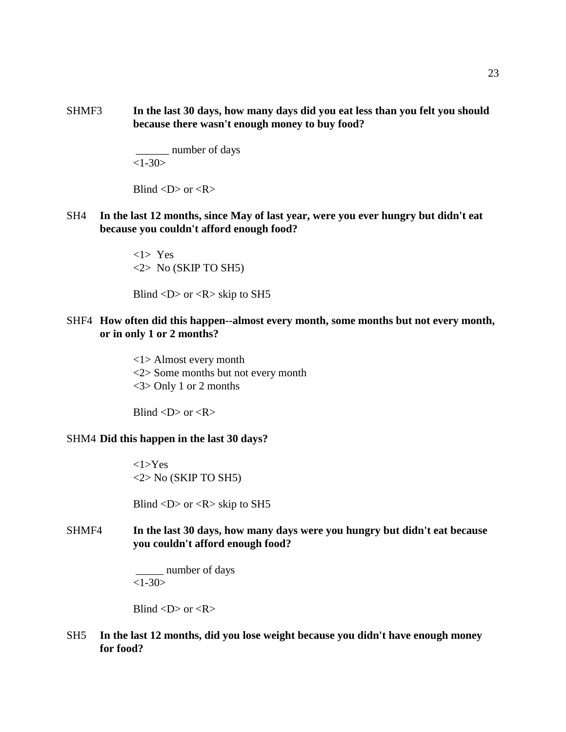SHMF3 **In the last 30 days, how many days did you eat less than you felt you should because there wasn't enough money to buy food?**

> \_\_\_\_\_\_ number of days  $<1-30>$

Blind  $\langle D \rangle$  or  $\langle R \rangle$ 

SH4 **In the last 12 months, since May of last year, were you ever hungry but didn't eat because you couldn't afford enough food?**

> <1> Yes <2> No (SKIP TO SH5)

Blind  $\langle D \rangle$  or  $\langle R \rangle$  skip to SH5

### SHF4 **How often did this happen--almost every month, some months but not every month, or in only 1 or 2 months?**

<1> Almost every month <2> Some months but not every month <3> Only 1 or 2 months

Blind  $\langle D \rangle$  or  $\langle R \rangle$ 

#### SHM4 **Did this happen in the last 30 days?**

<1>Yes <2> No (SKIP TO SH5)

Blind  $\langle D \rangle$  or  $\langle R \rangle$  skip to SH5

## SHMF4 **In the last 30 days, how many days were you hungry but didn't eat because you couldn't afford enough food?**

 \_\_\_\_\_ number of days  $<1-30>$ 

Blind  $\langle D \rangle$  or  $\langle R \rangle$ 

### SH5 **In the last 12 months, did you lose weight because you didn't have enough money for food?**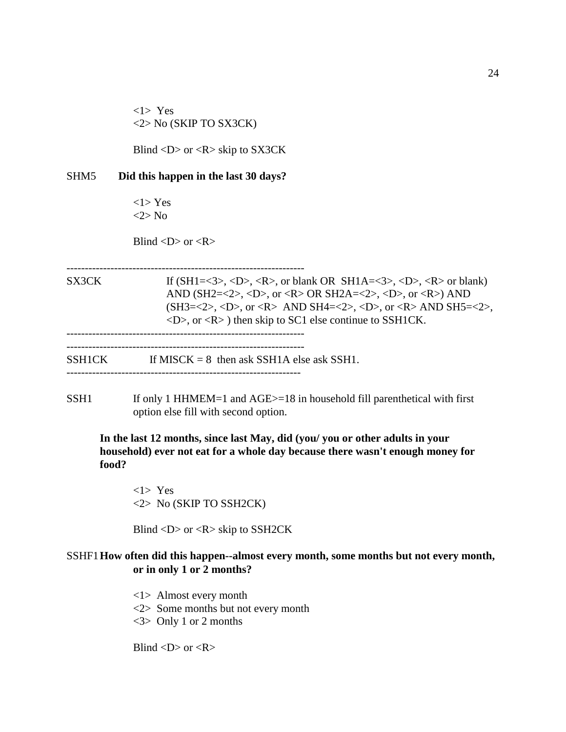<1> Yes <2> No (SKIP TO SX3CK)

Blind  $\langle D \rangle$  or  $\langle R \rangle$  skip to SX3CK

#### SHM5 **Did this happen in the last 30 days?**

 <1> Yes <2> No

Blind  $\langle D \rangle$  or  $\langle R \rangle$ 

-----------------------------------------------------------------

SX3CK If  $(SH1=<3>$ ,  $$ ,  $$ , or blank OR  $SH1A=<3>$ ,  $$ ,  $$  or blank) AND (SH2=<2>, <D>, or <R> OR SH2A=<2>, <D>, or <R>) AND  $(SH3=<2>, , or AND SH4=<2>, , or AND SH5=<2>,$  $\langle D \rangle$ , or  $\langle R \rangle$  then skip to SC1 else continue to SSH1CK. ----------------------------------------------------------------- -----------------------------------------------------------------

 $SSHICK$  If MISCK = 8 then ask SSH1A else ask SSH1.

----------------------------------------------------------------

 $SSH1$  If only 1 HHMEM=1 and AGE $>=18$  in household fill parenthetical with first option else fill with second option.

**In the last 12 months, since last May, did (you/ you or other adults in your household) ever not eat for a whole day because there wasn't enough money for food?**

<1> Yes <2> No (SKIP TO SSH2CK)

Blind  $\langle D \rangle$  or  $\langle R \rangle$  skip to SSH2CK

## SSHF1**How often did this happen--almost every month, some months but not every month, or in only 1 or 2 months?**

- <1> Almost every month
- <2> Some months but not every month
- <3> Only 1 or 2 months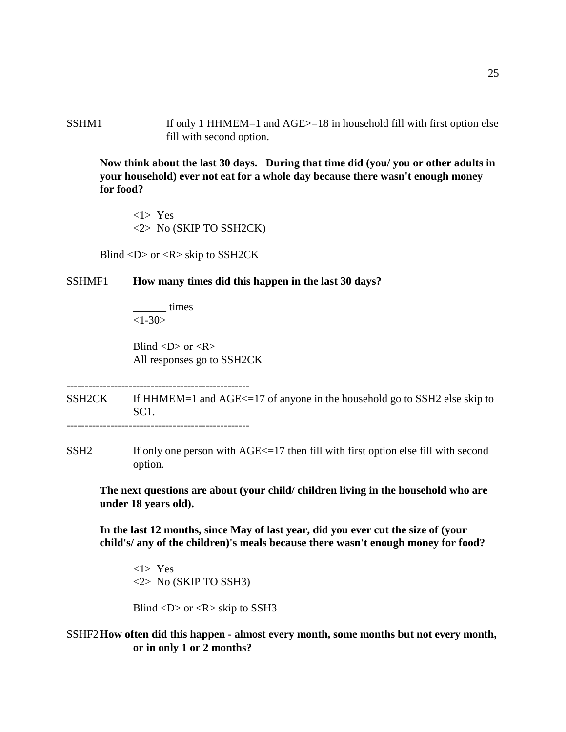SSHM1 If only 1 HHMEM=1 and AGE>=18 in household fill with first option else fill with second option.

**Now think about the last 30 days. During that time did (you/ you or other adults in your household) ever not eat for a whole day because there wasn't enough money for food?**

<1> Yes <2> No (SKIP TO SSH2CK)

Blind  $\langle D \rangle$  or  $\langle R \rangle$  skip to SSH2CK

#### SSHMF1 **How many times did this happen in the last 30 days?**

\_\_\_\_\_\_ times  $<1 - 30$ 

Blind  $\langle D \rangle$  or  $\langle R \rangle$ All responses go to SSH2CK

--------------------------------------------------

SSH2CK If HHMEM=1 and AGE $\le$ =17 of anyone in the household go to SSH2 else skip to SC1. --------------------------------------------------

SSH2 If only one person with AGE <= 17 then fill with first option else fill with second option.

**The next questions are about (your child/ children living in the household who are under 18 years old).**

**In the last 12 months, since May of last year, did you ever cut the size of (your child's/ any of the children)'s meals because there wasn't enough money for food?**

<1> Yes <2> No (SKIP TO SSH3)

Blind  $\langle D \rangle$  or  $\langle R \rangle$  skip to SSH3

SSHF2**How often did this happen - almost every month, some months but not every month, or in only 1 or 2 months?**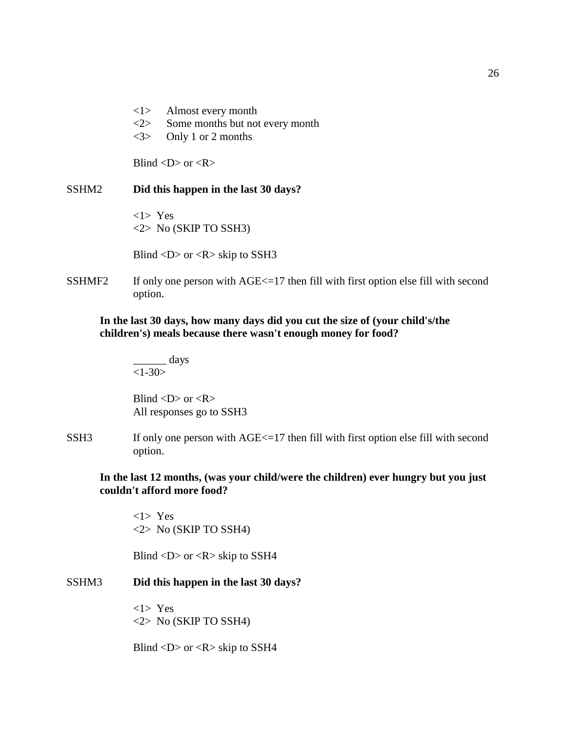- <1> Almost every month
- <2> Some months but not every month
- <3> Only 1 or 2 months

Blind  $\langle D \rangle$  or  $\langle R \rangle$ 

#### SSHM2 **Did this happen in the last 30 days?**

<1> Yes <2> No (SKIP TO SSH3)

Blind  $\langle D \rangle$  or  $\langle R \rangle$  skip to SSH3

 $SSHMF2$  If only one person with  $AGE \leq 17$  then fill with first option else fill with second option.

### **In the last 30 days, how many days did you cut the size of (your child's/the children's) meals because there wasn't enough money for food?**

 $\frac{\ }{\ }$  days  $<1 - 30$ 

Blind  $\langle D \rangle$  or  $\langle R \rangle$ All responses go to SSH3

SSH3 If only one person with AGE <= 17 then fill with first option else fill with second option.

**In the last 12 months, (was your child/were the children) ever hungry but you just couldn't afford more food?**

<1> Yes <2> No (SKIP TO SSH4)

Blind  $\langle D \rangle$  or  $\langle R \rangle$  skip to SSH4

### SSHM3 **Did this happen in the last 30 days?**

<1> Yes <2> No (SKIP TO SSH4)

Blind  $\langle D \rangle$  or  $\langle R \rangle$  skip to SSH4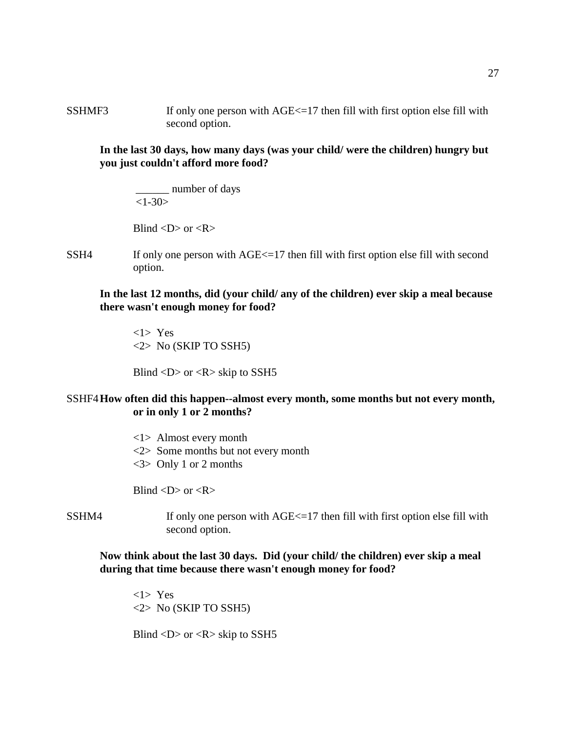SSHMF3 If only one person with  $\text{AGE} \leq 17$  then fill with first option else fill with second option.

**In the last 30 days, how many days (was your child/ were the children) hungry but you just couldn't afford more food?**

 \_\_\_\_\_\_ number of days  $<1 - 30$ 

Blind  $\langle D \rangle$  or  $\langle R \rangle$ 

 $SSH4$  If only one person with  $AGE \leq 17$  then fill with first option else fill with second option.

**In the last 12 months, did (your child/ any of the children) ever skip a meal because there wasn't enough money for food?**

<1> Yes  $\langle 2 \rangle$  No (SKIP TO SSH5)

Blind  $\langle D \rangle$  or  $\langle R \rangle$  skip to SSH5

SSHF4**How often did this happen--almost every month, some months but not every month, or in only 1 or 2 months?**

> <1> Almost every month <2> Some months but not every month <3> Only 1 or 2 months

Blind  $\langle D \rangle$  or  $\langle R \rangle$ 

- 
- $SSHM4$  If only one person with  $AGE \le 17$  then fill with first option else fill with second option.

### **Now think about the last 30 days. Did (your child/ the children) ever skip a meal during that time because there wasn't enough money for food?**

<1> Yes <2> No (SKIP TO SSH5)

Blind  $\langle D \rangle$  or  $\langle R \rangle$  skip to SSH5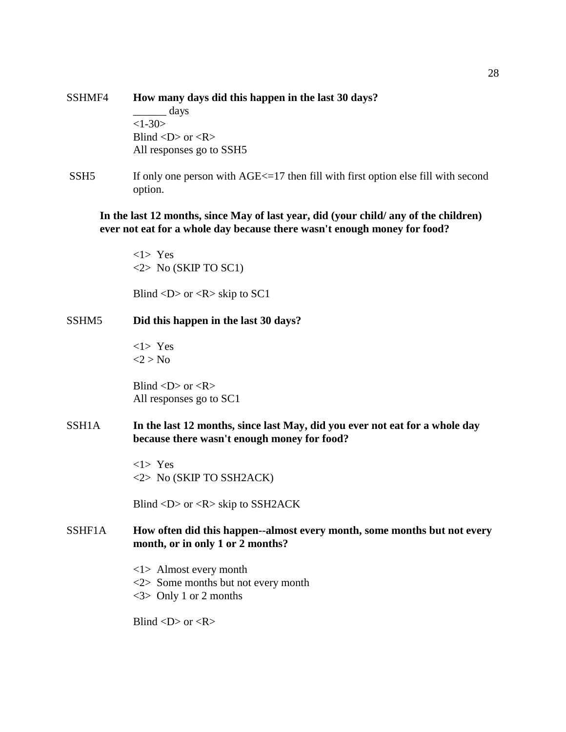| SSHMF4 | How many days did this happen in the last 30 days? |  |  |  |  |
|--------|----------------------------------------------------|--|--|--|--|
|        | days                                               |  |  |  |  |
|        | $<1-30>$                                           |  |  |  |  |
|        | Blind $\langle D \rangle$ or $\langle R \rangle$   |  |  |  |  |
|        | All responses go to SSH5                           |  |  |  |  |
|        |                                                    |  |  |  |  |

SSH5 If only one person with AGE <= 17 then fill with first option else fill with second option.

## **In the last 12 months, since May of last year, did (your child/ any of the children) ever not eat for a whole day because there wasn't enough money for food?**

<1> Yes  $\langle 2 \rangle$  No (SKIP TO SC1)

Blind  $\langle D \rangle$  or  $\langle R \rangle$  skip to SC1

### SSHM5 **Did this happen in the last 30 days?**

<1> Yes  $<$ 2 > No

Blind  $\langle D \rangle$  or  $\langle R \rangle$ All responses go to SC1

SSH1A **In the last 12 months, since last May, did you ever not eat for a whole day because there wasn't enough money for food?**

> <1> Yes <2> No (SKIP TO SSH2ACK)

Blind <D> or <R> skip to SSH2ACK

## SSHF1A **How often did this happen--almost every month, some months but not every month, or in only 1 or 2 months?**

- <1> Almost every month
- <2> Some months but not every month
- <3> Only 1 or 2 months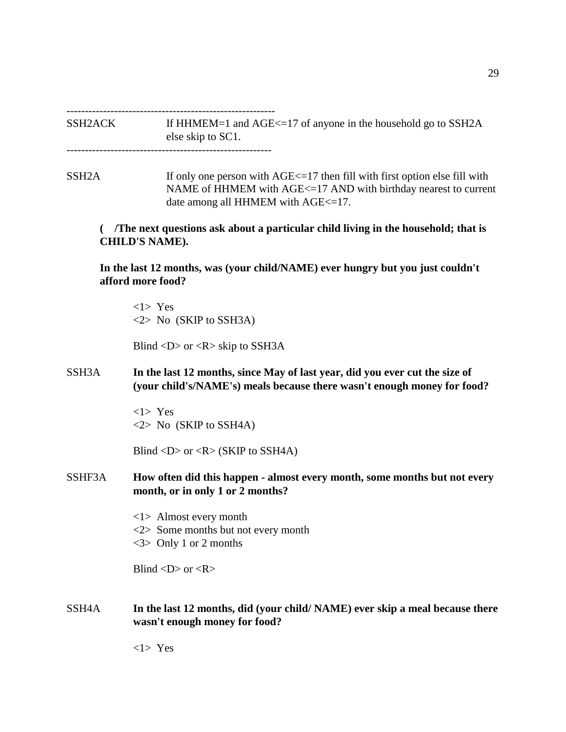---------------------------------------------------------

SSH2ACK If HHMEM=1 and AGE<=17 of anyone in the household go to SSH2A else skip to SC1. --------------------------------------------------------

 $SSH2A$  If only one person with  $AGE \leq 17$  then fill with first option else fill with NAME of HHMEM with AGE<=17 AND with birthday nearest to current date among all HHMEM with AGE $\le$ =17.

 **( /The next questions ask about a particular child living in the household; that is CHILD'S NAME).**

**In the last 12 months, was (your child/NAME) ever hungry but you just couldn't afford more food?**

<1> Yes <2> No (SKIP to SSH3A)

Blind  $\langle D \rangle$  or  $\langle R \rangle$  skip to SSH3A

SSH3A **In the last 12 months, since May of last year, did you ever cut the size of (your child's/NAME's) meals because there wasn't enough money for food?**

> <1> Yes <2> No (SKIP to SSH4A)

Blind  $\langle D \rangle$  or  $\langle R \rangle$  (SKIP to SSH4A)

- SSHF3A **How often did this happen almost every month, some months but not every month, or in only 1 or 2 months?**
	- <1> Almost every month
	- <2> Some months but not every month
	- <3> Only 1 or 2 months

Blind  $\langle D \rangle$  or  $\langle R \rangle$ 

SSH4A **In the last 12 months, did (your child/ NAME) ever skip a meal because there wasn't enough money for food?**

<1> Yes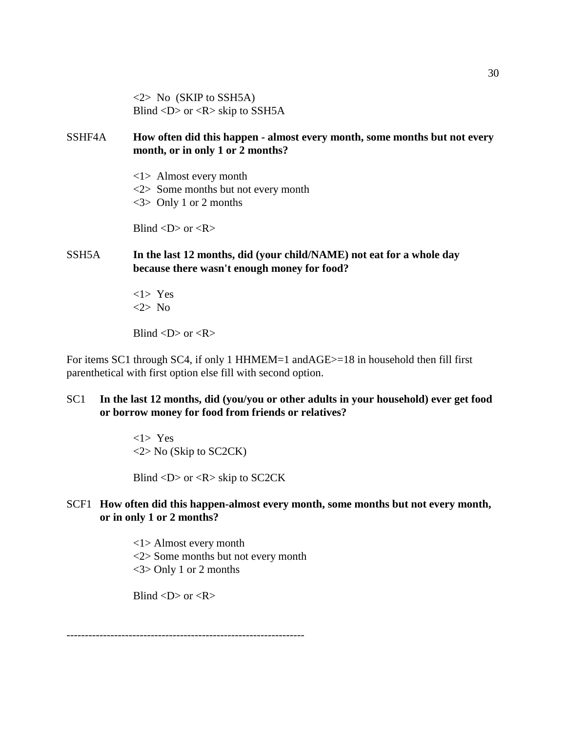$\langle 2 \rangle$  No (SKIP to SSH5A) Blind  $\langle D \rangle$  or  $\langle R \rangle$  skip to SSH5A

## SSHF4A **How often did this happen - almost every month, some months but not every month, or in only 1 or 2 months?**

- <1> Almost every month
- <2> Some months but not every month
- <3> Only 1 or 2 months

Blind  $\langle D \rangle$  or  $\langle R \rangle$ 

## SSH5A **In the last 12 months, did (your child/NAME) not eat for a whole day because there wasn't enough money for food?**

<1> Yes <2> No

Blind  $\langle D \rangle$  or  $\langle R \rangle$ 

For items SC1 through SC4, if only 1 HHMEM=1 andAGE>=18 in household then fill first parenthetical with first option else fill with second option.

### SC1 **In the last 12 months, did (you/you or other adults in your household) ever get food or borrow money for food from friends or relatives?**

<1> Yes <2> No (Skip to SC2CK)

Blind  $\langle D \rangle$  or  $\langle R \rangle$  skip to SC2CK

## SCF1 **How often did this happen-almost every month, some months but not every month, or in only 1 or 2 months?**

<1> Almost every month <2> Some months but not every month <3> Only 1 or 2 months

Blind  $\langle D \rangle$  or  $\langle R \rangle$ 

-----------------------------------------------------------------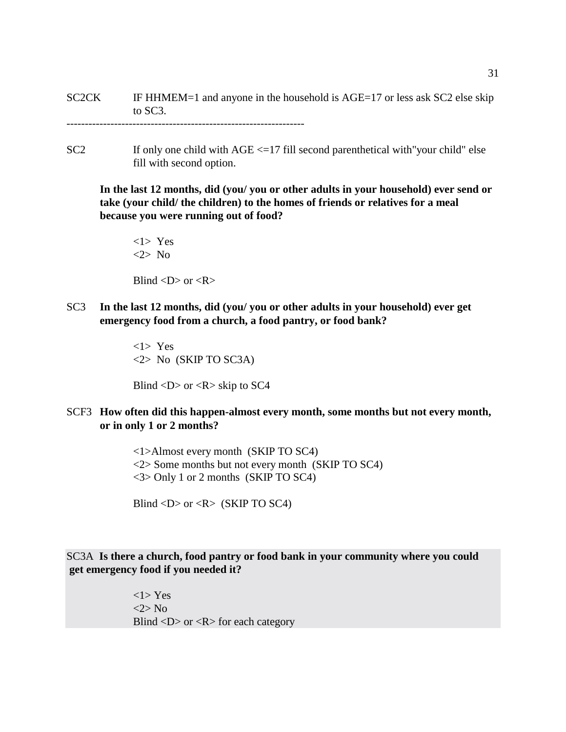SC2CK IF HHMEM=1 and anyone in the household is AGE=17 or less ask SC2 else skip to SC3.

 $SC2$  If only one child with  $AGE < =17$  fill second parenthetical with "your child" else fill with second option.

**In the last 12 months, did (you/ you or other adults in your household) ever send or take (your child/ the children) to the homes of friends or relatives for a meal because you were running out of food?**

<1> Yes <2> No

Blind  $\langle D \rangle$  or  $\langle R \rangle$ 

SC3 **In the last 12 months, did (you/ you or other adults in your household) ever get emergency food from a church, a food pantry, or food bank?**

> <1> Yes <2> No (SKIP TO SC3A)

Blind  $\langle D \rangle$  or  $\langle R \rangle$  skip to SC4

SCF3 **How often did this happen-almost every month, some months but not every month, or in only 1 or 2 months?**

> <1>Almost every month (SKIP TO SC4) <2> Some months but not every month (SKIP TO SC4) <3> Only 1 or 2 months (SKIP TO SC4)

Blind  $\langle D \rangle$  or  $\langle R \rangle$  (SKIP TO SC4)

### SC3A **Is there a church, food pantry or food bank in your community where you could get emergency food if you needed it?**

<1> Yes <2> No Blind  $\langle D \rangle$  or  $\langle R \rangle$  for each category